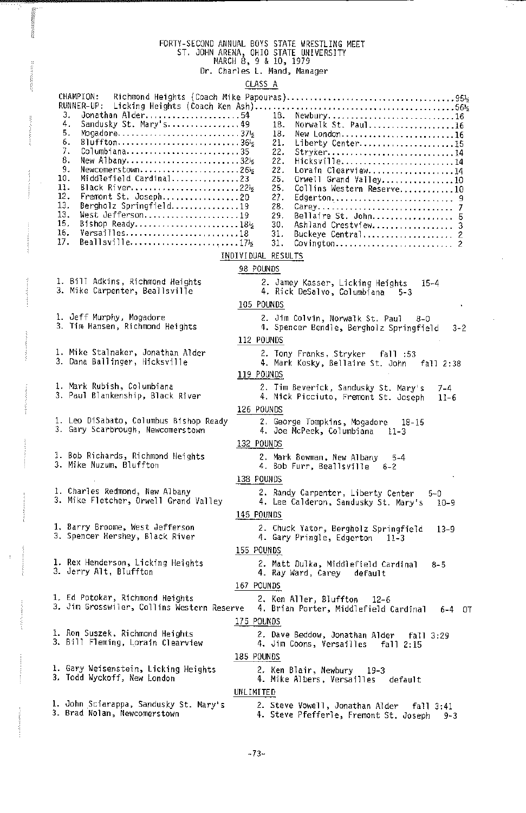## FORTY-SECOND ANNUAL BOYS STATE WRESTLING MEET ST. JOHN AREMA, OHIO STATE UNIVERSITY MARCH 8, 9 & 10, 1979 Dr. Charles L. Hand, Manager

## CLASS A

| 10.<br>11.<br>12.<br>13.<br>13.<br>15.<br>16.<br>17. | CHAMPION:<br>RUNNER-UP:<br>З.<br>Jonathan Alder54<br>Sandusky St. Mary's 49<br>4.<br>Mogadore374<br>5.<br>Bluffton36 <sup>1</sup> 2<br>6.<br>Columbiana35<br>7.<br>New Albany32½<br>8.<br>Newcomerstown2612<br>9.<br>Middlefield Cardinal23<br>Black River22½<br>Fremont St. Joseph20<br>Bergholz Springfield19<br>West Jefferson19<br>Bishop Ready181/2<br>Versailles18<br>Beallsville1712 | Newbury16<br>18.<br>Norwalk St. Paul16<br>18.<br>18.<br>New London16<br>21.<br>Liberty Center15<br>22.<br>Stryker14<br>22.<br>Hicksville14<br>22.<br>Lorain Clearview14<br>25.<br>Orwell Grand Valley10<br>25,<br>Collins Western Reserve10<br>27.<br>Edgerton 9<br>28.<br>29.<br>Bellaire St. John 5<br>30.<br>Ashland Crestview 3<br>31.<br>Buckeye Central 2<br>31.<br>Covington 2<br>INDIVIDUAL RESULTS |
|------------------------------------------------------|---------------------------------------------------------------------------------------------------------------------------------------------------------------------------------------------------------------------------------------------------------------------------------------------------------------------------------------------------------------------------------------------|-------------------------------------------------------------------------------------------------------------------------------------------------------------------------------------------------------------------------------------------------------------------------------------------------------------------------------------------------------------------------------------------------------------|
|                                                      | 1. Bill Adkins, Richmond Heights                                                                                                                                                                                                                                                                                                                                                            | 98 POUNDS                                                                                                                                                                                                                                                                                                                                                                                                   |
|                                                      | 3. Mike Carpenter, Beallsville                                                                                                                                                                                                                                                                                                                                                              | 2. Jamey Kasser, Licking Heights<br>$15 - 4$<br>4. Rick DeSalvo, Columbiana 5-3                                                                                                                                                                                                                                                                                                                             |
|                                                      |                                                                                                                                                                                                                                                                                                                                                                                             | 105 POUNDS                                                                                                                                                                                                                                                                                                                                                                                                  |
|                                                      | 1. Jeff Murphy, Mogadore<br>3. Tim Hansen, Richmond Heights                                                                                                                                                                                                                                                                                                                                 | 2. Jim Colvin, Norwalk St. Paul<br>$8 - 0$<br>4. Spencer Bendle, Bergholz Springfield<br>$3 - 2$                                                                                                                                                                                                                                                                                                            |
|                                                      |                                                                                                                                                                                                                                                                                                                                                                                             | 112 POUNDS                                                                                                                                                                                                                                                                                                                                                                                                  |
|                                                      | 1. Mike Stalnaker, Jonathan Alder<br>3. Dana Ballinger, Hicksville                                                                                                                                                                                                                                                                                                                          | 2. Tony Franks, Stryker fall :53<br>4. Mark Kosky, Bellaire St. John fall 2:38<br>119 POUNDS                                                                                                                                                                                                                                                                                                                |
|                                                      | 1. Mark Rubish, Columbiana<br>3. Paul Blankenship, Black River                                                                                                                                                                                                                                                                                                                              | 2. Tim Beverick, Sandusky St. Mary's<br>7-4<br>4. Nick Picciuto, Fremont St. Joseph<br>$11 - 6$                                                                                                                                                                                                                                                                                                             |
|                                                      | 1. Leo DiSabato, Columbus Bishop Ready<br>3. Gary Scarbrough, Newcomerstown                                                                                                                                                                                                                                                                                                                 | 126 POUNDS<br>2. George Tompkins, Mogadore<br>18-15<br>4. Joe McPeek, Columbiana<br>$11 - 3$                                                                                                                                                                                                                                                                                                                |
|                                                      |                                                                                                                                                                                                                                                                                                                                                                                             | 132 POUNDS                                                                                                                                                                                                                                                                                                                                                                                                  |
|                                                      | 1. Bob Richards, Richmond Heights<br>3. Mike Nuzum, Bluffton                                                                                                                                                                                                                                                                                                                                | 2. Mark Bowman, New Albany<br>5-4<br>4. Bob Furr, Beallsville<br>$6 - 2$                                                                                                                                                                                                                                                                                                                                    |
|                                                      | 1. Charles Redmond, New Albany                                                                                                                                                                                                                                                                                                                                                              | 138 POUNDS                                                                                                                                                                                                                                                                                                                                                                                                  |
|                                                      | 3. Mike Fletcher, Orwell Grand Valley                                                                                                                                                                                                                                                                                                                                                       | 2. Randy Carpenter, Liberty Center<br>5-0<br>4. Lee Calderon, Sandusky St. Mary's<br>$10 - 9$<br>145 POUNDS                                                                                                                                                                                                                                                                                                 |
|                                                      | 1. Barry Broome, West Jefferson<br>3. Spencer Hershey, Black River                                                                                                                                                                                                                                                                                                                          | 2. Chuck Yator, Bergholz Springfield<br>$13 - 9$<br>4. Gary Pringle, Edgerton 11-3                                                                                                                                                                                                                                                                                                                          |
|                                                      |                                                                                                                                                                                                                                                                                                                                                                                             | 155 POUNDS                                                                                                                                                                                                                                                                                                                                                                                                  |
|                                                      | 1. Rex Henderson, Licking Heights<br>3. Jerry Alt, Bluffton                                                                                                                                                                                                                                                                                                                                 | 2. Matt Dulka, Middlefield Cardinal<br>$8 - 5$<br>4. Ray Ward, Carey default                                                                                                                                                                                                                                                                                                                                |
|                                                      |                                                                                                                                                                                                                                                                                                                                                                                             | 167 POUNDS                                                                                                                                                                                                                                                                                                                                                                                                  |
|                                                      | 1. Ed Potokar, Richmond Heights<br>3. Jim Grosswiler, Collins Western Reserve                                                                                                                                                                                                                                                                                                               | 2. Ken Aller, Bluffton<br>$12 - 6$<br>4. Brian Porter, Middlefield Cardinal<br>$6 - 4$ OT                                                                                                                                                                                                                                                                                                                   |
|                                                      |                                                                                                                                                                                                                                                                                                                                                                                             | 175 POUNDS                                                                                                                                                                                                                                                                                                                                                                                                  |
|                                                      | 1. Ron Suszek, Richmond Heights<br>3. Bill Fleming, Lorain Clearview                                                                                                                                                                                                                                                                                                                        | 2. Dave Beddow, Jonathan Alder<br>fall 3:29<br>4. Jim Coons, Versailles fall 2:15                                                                                                                                                                                                                                                                                                                           |
|                                                      |                                                                                                                                                                                                                                                                                                                                                                                             | 185 POUNDS                                                                                                                                                                                                                                                                                                                                                                                                  |
|                                                      | 1. Gary Weisenstein, Licking Heights<br>3. Todd Wyckoff, New London                                                                                                                                                                                                                                                                                                                         | 2. Ken Blair, Newbury 19-3<br>4. Mike Albers, Versailles default                                                                                                                                                                                                                                                                                                                                            |
|                                                      | 1. John Sciarappa, Sandusky St. Mary's                                                                                                                                                                                                                                                                                                                                                      | UNLIMITED                                                                                                                                                                                                                                                                                                                                                                                                   |
|                                                      | 3. Brad Nolan, Newcomerstown                                                                                                                                                                                                                                                                                                                                                                | 2. Steve Vowell, Jonathan Alder<br>fall 3:41<br>4. Steve Pfefferle, Fremont St. Joseph<br>$9 - 3$                                                                                                                                                                                                                                                                                                           |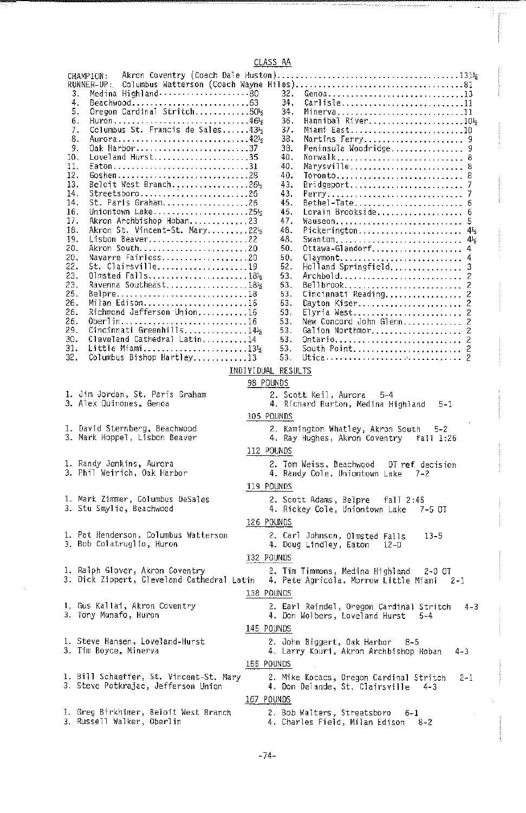CLASS AA

 $-1$ 

| Akron Coventry (Coach Dale Huston)<br>CHAMPION:<br>RUNNER-UP :<br>32.<br>Genoa13<br>3.<br>Beachwood63<br>34.<br>Carlisle11<br>4.<br>Oregon Cardinal Stritch50%<br>5.<br>34.<br>Minerva11<br>Huron46 <sup>1</sup> 2<br>Hannibal River1012<br>6.<br>36.<br>Columbus St. Francis de Sales431/2<br>Miami East10<br>37.<br>7.<br>Aurora42½<br>Martins Ferry 9<br>8.<br>38.<br>0ak Harbor37<br>38.<br>9.<br>Peninsula Woodridge 9<br>Loveland Hurst35<br>10.<br>40.<br>Norwalk 8<br>Eaton,,,,,,,,,,,,,,,,,,,,,,,,,,,,,,,,,<br>11.<br>40.<br>Marysville 8<br>12.<br>Goshen28<br>40.<br>Toronto 8<br>Beloit West Branch26%<br>43.<br>Bridgeport<br>13.<br>Streetsboro26<br>14.<br>43.<br>Perry<br>St. Paris Graham26<br>14.<br>45.<br>Bethel-Tate<br>Uniontown Lake25½<br>45.<br>Lorain Brookside<br>16.<br>Akron Archbishop Hoban23<br>47.<br>17.<br>Wauseon<br>Akron St. Vincent-St. Mary2212<br>48.<br>Pickerington<br>18.<br>48.<br>19.<br>Lisbon Beaver22<br>Swanton<br>Ottawa-Glandorf<br>Akron South20<br>20.<br>50.<br>Navarre Fairless20<br>20.<br>50.<br>Claymont<br>St. Clairsville19<br>Holland Springfield<br>22.<br>52.<br>23.<br>Olmsted Falls184<br>53.<br>Archbold<br>23.<br>53.<br>Bellbrook<br>Belpre18<br>Cincinnati Reading<br>25.<br>53.<br>Milan Edison16<br>26.<br>53.<br>Dayton Kiser 2<br>Richmond Jefferson Union16<br>26.<br>Elyria West 2<br>53.<br>0berlin16<br>New Concord John Glenn 2<br>26.<br>53.<br>Cincinnati Greenhills14 <sup>1</sup> 2<br>29.<br>Galion Northmor 2<br>53.<br>Cleveland Cathedral Latin14<br>30.<br>53.<br>Ontario 2<br>31.<br>Little Miami1314<br>South Point 2<br>53.<br>Columbus Bishop Hartley13<br>32.<br>53.<br>INDIVIDUAL RESULTS | 6<br>4 <sub>5</sub><br>$4\frac{1}{2}$<br>3<br>2<br>2<br>2 |  |  |  |  |
|-----------------------------------------------------------------------------------------------------------------------------------------------------------------------------------------------------------------------------------------------------------------------------------------------------------------------------------------------------------------------------------------------------------------------------------------------------------------------------------------------------------------------------------------------------------------------------------------------------------------------------------------------------------------------------------------------------------------------------------------------------------------------------------------------------------------------------------------------------------------------------------------------------------------------------------------------------------------------------------------------------------------------------------------------------------------------------------------------------------------------------------------------------------------------------------------------------------------------------------------------------------------------------------------------------------------------------------------------------------------------------------------------------------------------------------------------------------------------------------------------------------------------------------------------------------------------------------------------------------------------------------------------------------------------------------------|-----------------------------------------------------------|--|--|--|--|
| 98 POUNDS<br>1. Jim Jordan, St. Paris Graham<br>2. Scott Keil, Aurora<br>$5 - 4$                                                                                                                                                                                                                                                                                                                                                                                                                                                                                                                                                                                                                                                                                                                                                                                                                                                                                                                                                                                                                                                                                                                                                                                                                                                                                                                                                                                                                                                                                                                                                                                                        |                                                           |  |  |  |  |
| 3. Alex Quinones, Genoa<br>4. Richard Burton, Medina Highland<br>5-1<br>105 POUNDS                                                                                                                                                                                                                                                                                                                                                                                                                                                                                                                                                                                                                                                                                                                                                                                                                                                                                                                                                                                                                                                                                                                                                                                                                                                                                                                                                                                                                                                                                                                                                                                                      |                                                           |  |  |  |  |
| 1. David Sternberg, Beachwood<br>2. Kamington Whatley, Akron South<br>5-2<br>3. Mark Hoppel, Lisbon Beaver<br>4. Ray Hughes, Akron Coventry fall 1:26<br>112 POUNDS                                                                                                                                                                                                                                                                                                                                                                                                                                                                                                                                                                                                                                                                                                                                                                                                                                                                                                                                                                                                                                                                                                                                                                                                                                                                                                                                                                                                                                                                                                                     |                                                           |  |  |  |  |
| 1. Randy Jenkins, Aurora<br>2. Tom Weiss, Beachwood<br>OT ref. decision<br>3. Phil Weirich, Oak Harbor<br>4. Randy Cole, Uniontown Lake<br>7-2                                                                                                                                                                                                                                                                                                                                                                                                                                                                                                                                                                                                                                                                                                                                                                                                                                                                                                                                                                                                                                                                                                                                                                                                                                                                                                                                                                                                                                                                                                                                          |                                                           |  |  |  |  |
| 119 POUNDS<br>1. Mark Zimmer, Columbus DeSales<br>2. Scott Adams, Belpre<br>fall 2:45                                                                                                                                                                                                                                                                                                                                                                                                                                                                                                                                                                                                                                                                                                                                                                                                                                                                                                                                                                                                                                                                                                                                                                                                                                                                                                                                                                                                                                                                                                                                                                                                   |                                                           |  |  |  |  |
| 3. Stu Smylie, Beachwood<br>4. Rickey Cole, Uniontown Lake<br>7-5 OT                                                                                                                                                                                                                                                                                                                                                                                                                                                                                                                                                                                                                                                                                                                                                                                                                                                                                                                                                                                                                                                                                                                                                                                                                                                                                                                                                                                                                                                                                                                                                                                                                    |                                                           |  |  |  |  |
| 126 POUNDS<br>1. Pat Henderson, Columbus Watterson<br>2. Carl Johnson, Olmsted Falls<br>$13 - 5$                                                                                                                                                                                                                                                                                                                                                                                                                                                                                                                                                                                                                                                                                                                                                                                                                                                                                                                                                                                                                                                                                                                                                                                                                                                                                                                                                                                                                                                                                                                                                                                        |                                                           |  |  |  |  |
| 3. Bob Colatruglio, Huron<br>4. Doug Lindley, Eaton<br>$12 - 0$                                                                                                                                                                                                                                                                                                                                                                                                                                                                                                                                                                                                                                                                                                                                                                                                                                                                                                                                                                                                                                                                                                                                                                                                                                                                                                                                                                                                                                                                                                                                                                                                                         |                                                           |  |  |  |  |
| 132 POUNDS<br>1. Ralph Glover, Akron Coventry<br>2. Tim Timmons, Medina Highland<br>2-0 OT                                                                                                                                                                                                                                                                                                                                                                                                                                                                                                                                                                                                                                                                                                                                                                                                                                                                                                                                                                                                                                                                                                                                                                                                                                                                                                                                                                                                                                                                                                                                                                                              |                                                           |  |  |  |  |
| 3. Dick Zippert, Cleveland Cathedral Latin<br>4. Pete Agricola, Morrow Little Miami<br>$2 - 1$                                                                                                                                                                                                                                                                                                                                                                                                                                                                                                                                                                                                                                                                                                                                                                                                                                                                                                                                                                                                                                                                                                                                                                                                                                                                                                                                                                                                                                                                                                                                                                                          |                                                           |  |  |  |  |
| 138 POUNDS<br>1. Gus Kallai, Akron Coventry<br>2. Earl Reindel, Oregon Cardinal Stritch<br>3. Tony Munafo, Huron<br>4. Don Wolbers, Loveland Hurst<br>$5 - 4$                                                                                                                                                                                                                                                                                                                                                                                                                                                                                                                                                                                                                                                                                                                                                                                                                                                                                                                                                                                                                                                                                                                                                                                                                                                                                                                                                                                                                                                                                                                           | $4 - 3$                                                   |  |  |  |  |
| 145 POUNDS                                                                                                                                                                                                                                                                                                                                                                                                                                                                                                                                                                                                                                                                                                                                                                                                                                                                                                                                                                                                                                                                                                                                                                                                                                                                                                                                                                                                                                                                                                                                                                                                                                                                              |                                                           |  |  |  |  |
| 1. Steve Hansen, Loveland-Hurst<br>2. John Biggert, Oak Harbor<br>8-5<br>3. Tim Boyce, Minerva<br>4. Larry Kouri, Akron Archbishop Hoban<br>4-3                                                                                                                                                                                                                                                                                                                                                                                                                                                                                                                                                                                                                                                                                                                                                                                                                                                                                                                                                                                                                                                                                                                                                                                                                                                                                                                                                                                                                                                                                                                                         |                                                           |  |  |  |  |
| 155 POUNDS                                                                                                                                                                                                                                                                                                                                                                                                                                                                                                                                                                                                                                                                                                                                                                                                                                                                                                                                                                                                                                                                                                                                                                                                                                                                                                                                                                                                                                                                                                                                                                                                                                                                              |                                                           |  |  |  |  |
| 1. Bill Schaeffer, St. Vincent-St. Mary<br>2. Mike Kocacs, Oregon Cardinal Stritch<br>3. Steve Potkrajac, Jefferson Union<br>4. Don Delande, St. Clairsville<br>$4 - 3$                                                                                                                                                                                                                                                                                                                                                                                                                                                                                                                                                                                                                                                                                                                                                                                                                                                                                                                                                                                                                                                                                                                                                                                                                                                                                                                                                                                                                                                                                                                 | 2-1                                                       |  |  |  |  |
| 167 POUNDS                                                                                                                                                                                                                                                                                                                                                                                                                                                                                                                                                                                                                                                                                                                                                                                                                                                                                                                                                                                                                                                                                                                                                                                                                                                                                                                                                                                                                                                                                                                                                                                                                                                                              |                                                           |  |  |  |  |
| 1. Greg Birkhimer, Beloit West Branch<br>2. Bob Walters, Streetsboro<br>$6 - 1$<br>3, Russell Walker, Oberlin<br>4. Charles Field, Milan Edison<br>8-2                                                                                                                                                                                                                                                                                                                                                                                                                                                                                                                                                                                                                                                                                                                                                                                                                                                                                                                                                                                                                                                                                                                                                                                                                                                                                                                                                                                                                                                                                                                                  |                                                           |  |  |  |  |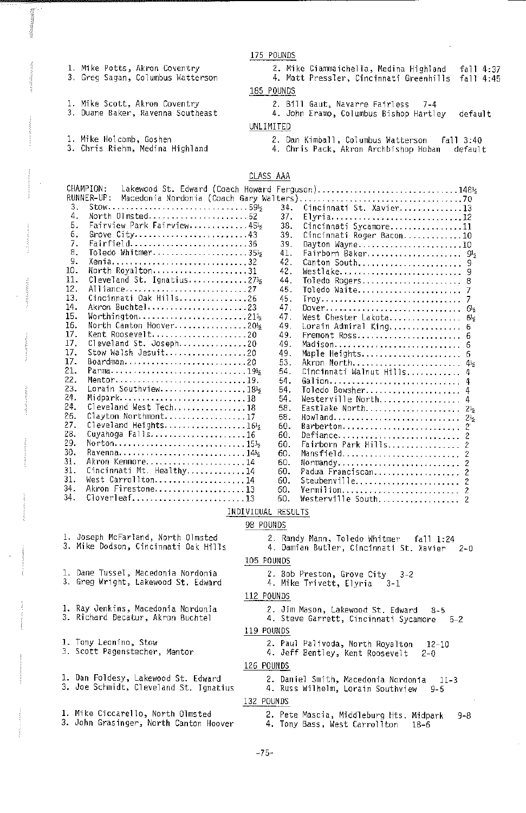175 POUNDS

1, Mike Potts, Akron Coventry 3. Greg Sagan, Columbus Watterson

1. Mike Scott, Akron Coventry 3. Duane Baker, Ravenna Southeast

1. Mike Holcomb. Goshen

3. Chris Riehm, Medina Highland

2. Mike Ciammaichella, Medina Highland fall 4:37 4. Matt Pressler, Cincinnati Greenhills fall 4:45 185 POUNDS

2. Bill Gaut, Navarre Fairless 7-4

- 4. John Eramo, Columbus Bishop Hartley default
- UNLIMITED
	- 2. Dan Kimball, Columbus Watterson fall 3:40 4. Chris Pack, Akron Archbishop Hoban default

CLASS AAA

| CHAMPION:<br>Lakewood St. Edward (Coach Howard Ferguson)1481<br>RUNNER-UP:                 |                                                                                             |            |                                                |  |  |  |  |  |  |
|--------------------------------------------------------------------------------------------|---------------------------------------------------------------------------------------------|------------|------------------------------------------------|--|--|--|--|--|--|
| 3.                                                                                         | $Stow$ 59                                                                                   | 34.        | Cincinnati St. Xavier13                        |  |  |  |  |  |  |
| 4.                                                                                         | North Olmsted52                                                                             | 37.        | Elyria12                                       |  |  |  |  |  |  |
| 5.                                                                                         | Fairview Park Fairview45%                                                                   | 38.        | Cincinnati Sycamore11                          |  |  |  |  |  |  |
| 6.                                                                                         | Grove $City$ 43                                                                             | 39.        | Cincinnati Roger Bacon10                       |  |  |  |  |  |  |
| 7.                                                                                         | Fairfield36                                                                                 | 39.        |                                                |  |  |  |  |  |  |
| 8.                                                                                         | Toledo Whitmer355                                                                           | 41.        | Dayton Wayne10<br>Fairborn Baker 95            |  |  |  |  |  |  |
| 9.                                                                                         | Xenia32                                                                                     | 42.        | Canton South 9                                 |  |  |  |  |  |  |
| 10.                                                                                        | North Royalton31                                                                            | 42.        | Westlake<br>9                                  |  |  |  |  |  |  |
| 11.                                                                                        | Cleveland St. Ignatius27%                                                                   | 44.        | Toledo Rogers<br>8                             |  |  |  |  |  |  |
| 12.                                                                                        | Alliance27                                                                                  | 45.        | Toledo Waite                                   |  |  |  |  |  |  |
| 13.                                                                                        | Cincinnati Oak Hills26                                                                      | 45.        |                                                |  |  |  |  |  |  |
| 14.                                                                                        | Akron Buchtel23                                                                             | 47.        | Troy                                           |  |  |  |  |  |  |
| 15.                                                                                        | Worthington21½                                                                              | 47.        | West Chester Lakota                            |  |  |  |  |  |  |
| 16.                                                                                        | North Canton Hoover20%                                                                      | 49.        | $6\frac{1}{2}$                                 |  |  |  |  |  |  |
| 17.                                                                                        | Kent Roosevelt20                                                                            | 49.        | Lorain Admiral King<br>6                       |  |  |  |  |  |  |
| 17.                                                                                        | Cleveland St. Joseph20                                                                      | 49.        | Fremont Ross<br>6<br>Madison                   |  |  |  |  |  |  |
| 17.                                                                                        |                                                                                             | 49.        | Maple Heights 6                                |  |  |  |  |  |  |
| 17.                                                                                        |                                                                                             | 53.        |                                                |  |  |  |  |  |  |
| 21.                                                                                        |                                                                                             | 54.        | Akron North 45<br>Cincinnati Walnut Hills<br>4 |  |  |  |  |  |  |
| 22.                                                                                        | Mentor19.                                                                                   | 54.        |                                                |  |  |  |  |  |  |
| 23.                                                                                        | Lorain Southview185                                                                         | 54.        | Galion<br>4<br>Toledo Bowsher                  |  |  |  |  |  |  |
| 24.                                                                                        | Midpark18                                                                                   | 54.        | 4                                              |  |  |  |  |  |  |
| 24.                                                                                        | Cleveland West Tech18                                                                       | 58.        | Westerville North                              |  |  |  |  |  |  |
| 26.                                                                                        | Clayton Northmont17                                                                         | 58.        | Eastlake North 212                             |  |  |  |  |  |  |
| 27.                                                                                        | $C1$ eveland Heights165                                                                     | 60.        | HowTand<br>2 <sub>5</sub>                      |  |  |  |  |  |  |
| 28.                                                                                        | Cuyahoga Falls16                                                                            | 60.        | Barberton<br>2                                 |  |  |  |  |  |  |
| 29.                                                                                        | $\text{North} \ldots \ldots \ldots \ldots \ldots \ldots \ldots \ldots \ldots \ldots \ldots$ | 60.        | Defiance<br>$\overline{c}$                     |  |  |  |  |  |  |
| 30.                                                                                        | Ravenna145                                                                                  |            | Fairborn Park Hills<br>2                       |  |  |  |  |  |  |
| 31.                                                                                        | Akron Kenmore14                                                                             | 60.<br>60. | Mansfield<br>2                                 |  |  |  |  |  |  |
| 31.                                                                                        | Cincinnati Mt. Healthy14                                                                    | 60.        | Normandy                                       |  |  |  |  |  |  |
| 31.                                                                                        | West Carrollton14                                                                           | 60.        | Padua Franciscan                               |  |  |  |  |  |  |
| 34.                                                                                        | Akron Firestone13                                                                           | 60.        |                                                |  |  |  |  |  |  |
| 34.                                                                                        | Cloverleaf13                                                                                | 60.        | Vermilion 2                                    |  |  |  |  |  |  |
|                                                                                            |                                                                                             |            | Westerville South<br>2                         |  |  |  |  |  |  |
| INDIVIDUAL RESULTS                                                                         |                                                                                             |            |                                                |  |  |  |  |  |  |
| 98 POUNDS                                                                                  |                                                                                             |            |                                                |  |  |  |  |  |  |
| 1. Joseph McFarland, North Olmsted<br>2. Randy Mann, Toledo Whitmer<br>fall 1:24           |                                                                                             |            |                                                |  |  |  |  |  |  |
| 3. Mike Dodson, Cincinnati Oak Hills<br>4. Damian Butler, Cincinnati St. Xavier<br>$2 - 0$ |                                                                                             |            |                                                |  |  |  |  |  |  |

Cincinnati St. Xavier 105 POUNDS

2. Jim Mason, Lakewood St. Edward 8-5 4. Steve Garrett, Cincinnati Sycamore 5-2

2. Paul Palivoda, North Royalton 12-10 4. Jeff Bentley, Kent Roosevelt 2-0

2. Daniel Smith, Macedonia Nordom'a 11-3 4. Russ Wi1helm, Lorain Southview 9-5

2. Bob Presto<mark>n, Grove City - 3-2</mark><br>4. Mike Trivett, Elyria - 3-1

- 1. Dane Tussel, Macedonia Nordonia 3. Greg Wright, Lakewood St. Edward
- 1. Ray Jenkins, Macedonia Nordonia
- 3. Richard Decatur, Akron Buchtel
- 1. Tony Leom'no, Stow
- 3, Scott Pagenstecher, Mentor
- 1. Dan Foldesy, Lakewood St. Edward 3. Jae Schmidt, Cleveland St. Ignatius
- l. Mike Ciccarello, North Olmsted<br>3. John Grasinger, North Canton Hoover
- 2. Pete Mascia, Middleburg Hts. Midpark 9-8 4. Tony Bass, West Carroliton 18-6

112 POUNDS

119 POUNDS

126 POUNDS

132 POUNDS